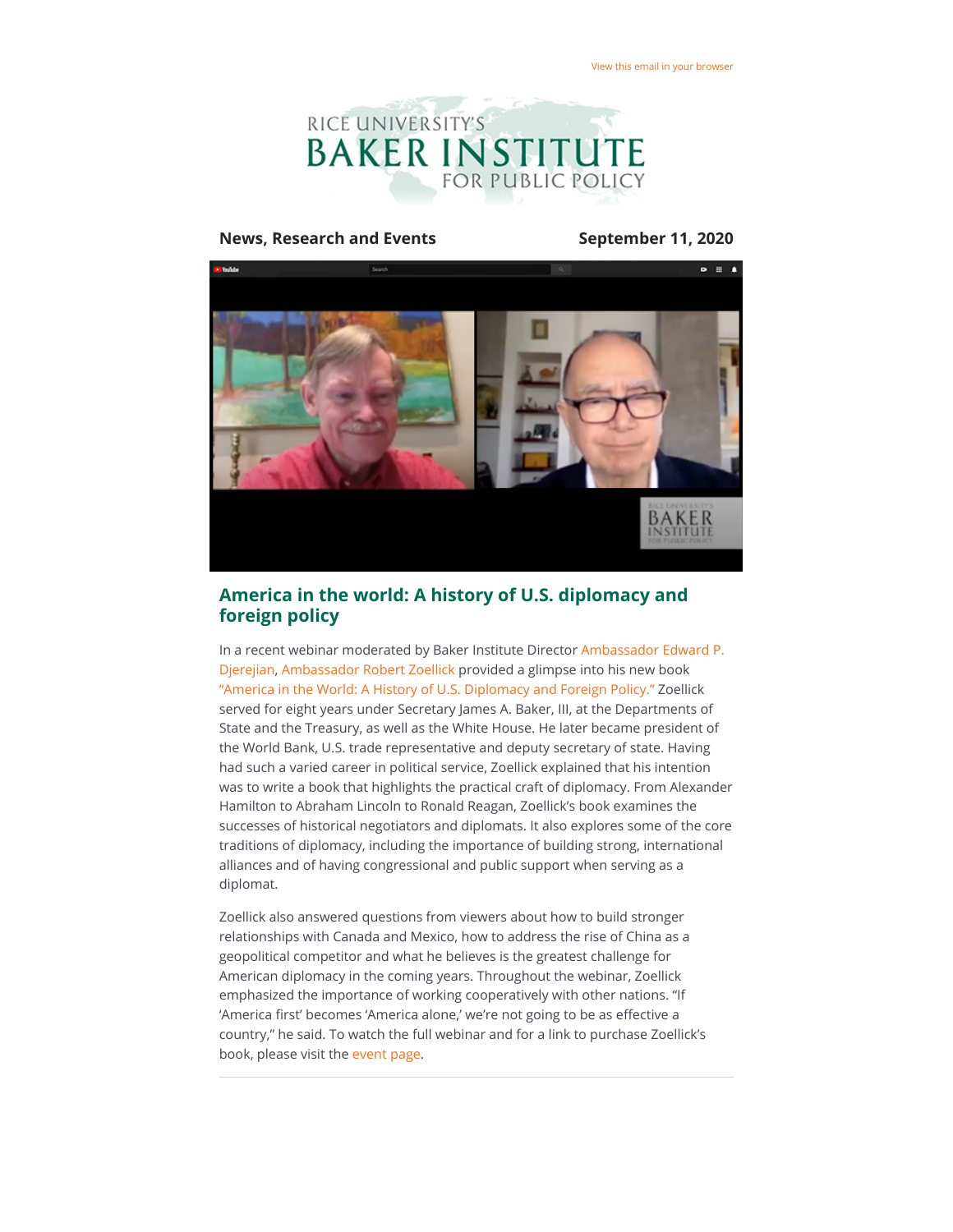

#### **News, Research and Events September 11, 2020**



## **America in the world: A history of U.S. diplomacy and foreign policy**

[In a recent webinar moderated by Baker Institute Director Ambassador Edward P.](https://riceconnect.rice.edu/page.redir?target=https%3a%2f%2fwww.bakerinstitute.org%2fexperts%2fedward-p-djerejian%2f&srcid=156033&srctid=1&erid=6dc4e267-dc60-412c-ba09-7a42bd687f54&trid=6dc4e267-dc60-412c-ba09-7a42bd687f54) Djerejian, [Ambassador Robert Zoellick](https://riceconnect.rice.edu/page.redir?target=https%3a%2f%2fwww.belfercenter.org%2fperson%2frobert-b-zoellick&srcid=156033&srctid=1&erid=6dc4e267-dc60-412c-ba09-7a42bd687f54&trid=6dc4e267-dc60-412c-ba09-7a42bd687f54) provided a glimpse into his new book ["America in the World: A History of U.S. Diplomacy and Foreign Policy."](https://riceconnect.rice.edu/page.redir?target=https%3a%2f%2fwww.brazosbookstore.com%2fbook%2f9781538761304&srcid=156033&srctid=1&erid=6dc4e267-dc60-412c-ba09-7a42bd687f54&trid=6dc4e267-dc60-412c-ba09-7a42bd687f54) Zoellick served for eight years under Secretary James A. Baker, III, at the Departments of State and the Treasury, as well as the White House. He later became president of the World Bank, U.S. trade representative and deputy secretary of state. Having had such a varied career in political service, Zoellick explained that his intention was to write a book that highlights the practical craft of diplomacy. From Alexander Hamilton to Abraham Lincoln to Ronald Reagan, Zoellick's book examines the successes of historical negotiators and diplomats. It also explores some of the core traditions of diplomacy, including the importance of building strong, international alliances and of having congressional and public support when serving as a diplomat.

Zoellick also answered questions from viewers about how to build stronger relationships with Canada and Mexico, how to address the rise of China as a geopolitical competitor and what he believes is the greatest challenge for American diplomacy in the coming years. Throughout the webinar, Zoellick emphasized the importance of working cooperatively with other nations. "If 'America first' becomes 'America alone,' we're not going to be as effective a country," he said. To watch the full webinar and for a link to purchase Zoellick's book, please visit the [event page](https://riceconnect.rice.edu/page.redir?target=https%3a%2f%2fwww.bakerinstitute.org%2fevents%2f2136%2f&srcid=156033&srctid=1&erid=6dc4e267-dc60-412c-ba09-7a42bd687f54&trid=6dc4e267-dc60-412c-ba09-7a42bd687f54).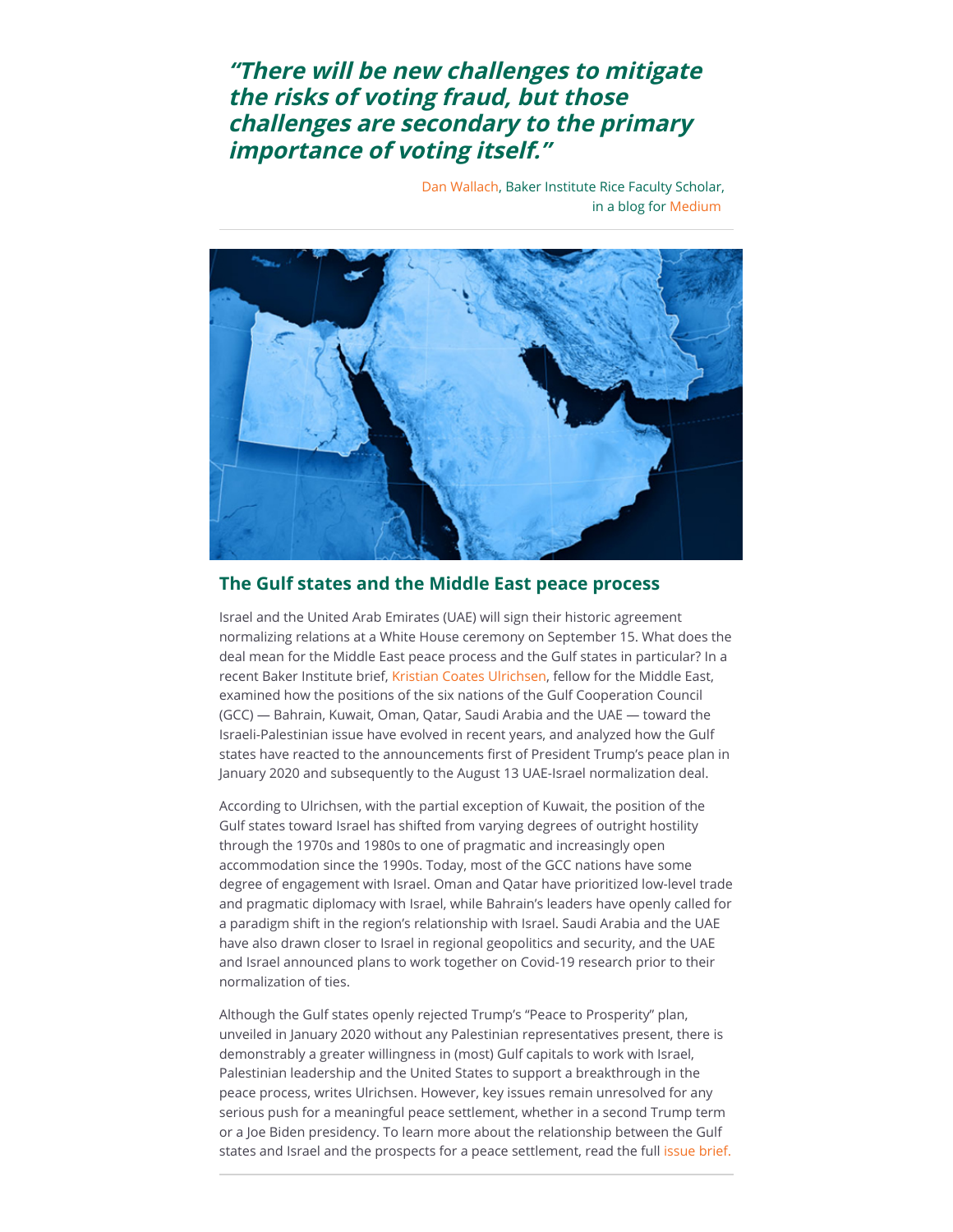# **"There will be new challenges to mitigate the risks of voting fraud, but those challenges are secondary to the primary importance of voting itself."**

[Dan Wallach](https://riceconnect.rice.edu/page.redir?target=https%3a%2f%2fwww.bakerinstitute.org%2fexperts%2fdan-wallach%2f&srcid=156033&srctid=1&erid=6dc4e267-dc60-412c-ba09-7a42bd687f54&trid=6dc4e267-dc60-412c-ba09-7a42bd687f54), Baker Institute Rice Faculty Scholar, in a blog for [Medium](https://riceconnect.rice.edu/page.redir?target=https%3a%2f%2fmedium.com%2f%40dwallach%2fvote-by-mail-security-in-the-age-of-covid-19-51ca7d385f92&srcid=156033&srctid=1&erid=6dc4e267-dc60-412c-ba09-7a42bd687f54&trid=6dc4e267-dc60-412c-ba09-7a42bd687f54) 



### **The Gulf states and the Middle East peace process**

Israel and the United Arab Emirates (UAE) will sign their historic agreement normalizing relations at a White House ceremony on September 15. What does the deal mean for the Middle East peace process and the Gulf states in particular? In a recent Baker Institute brief, [Kristian Coates Ulrichsen](https://riceconnect.rice.edu/page.redir?target=https%3a%2f%2fwww.bakerinstitute.org%2fexperts%2fkristian-coates-ulrichsen%2f&srcid=156033&srctid=1&erid=6dc4e267-dc60-412c-ba09-7a42bd687f54&trid=6dc4e267-dc60-412c-ba09-7a42bd687f54), fellow for the Middle East, examined how the positions of the six nations of the Gulf Cooperation Council (GCC) — Bahrain, Kuwait, Oman, Qatar, Saudi Arabia and the UAE — toward the Israeli-Palestinian issue have evolved in recent years, and analyzed how the Gulf states have reacted to the announcements first of President Trump's peace plan in January 2020 and subsequently to the August 13 UAE-Israel normalization deal.

According to Ulrichsen, with the partial exception of Kuwait, the position of the Gulf states toward Israel has shifted from varying degrees of outright hostility through the 1970s and 1980s to one of pragmatic and increasingly open accommodation since the 1990s. Today, most of the GCC nations have some degree of engagement with Israel. Oman and Qatar have prioritized low-level trade and pragmatic diplomacy with Israel, while Bahrain's leaders have openly called for a paradigm shift in the region's relationship with Israel. Saudi Arabia and the UAE have also drawn closer to Israel in regional geopolitics and security, and the UAE and Israel announced plans to work together on Covid-19 research prior to their normalization of ties.

Although the Gulf states openly rejected Trump's "Peace to Prosperity" plan, unveiled in January 2020 without any Palestinian representatives present, there is demonstrably a greater willingness in (most) Gulf capitals to work with Israel, Palestinian leadership and the United States to support a breakthrough in the peace process, writes Ulrichsen. However, key issues remain unresolved for any serious push for a meaningful peace settlement, whether in a second Trump term or a Joe Biden presidency. To learn more about the relationship between the Gulf states and Israel and the prospects for a peace settlement, read the full [issue brief.](https://riceconnect.rice.edu/page.redir?target=https%3a%2f%2fwww.bakerinstitute.org%2fresearch%2fgulf-states-and-middle-east-peace-process-considerations-stakes-and-options%2f&srcid=156033&srctid=1&erid=6dc4e267-dc60-412c-ba09-7a42bd687f54&trid=6dc4e267-dc60-412c-ba09-7a42bd687f54)